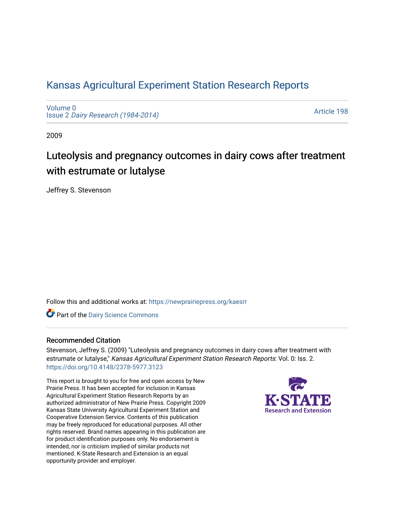## [Kansas Agricultural Experiment Station Research Reports](https://newprairiepress.org/kaesrr)

[Volume 0](https://newprairiepress.org/kaesrr/vol0) Issue 2 [Dairy Research \(1984-2014\)](https://newprairiepress.org/kaesrr/vol0/iss2) 

[Article 198](https://newprairiepress.org/kaesrr/vol0/iss2/198) 

2009

# Luteolysis and pregnancy outcomes in dairy cows after treatment with estrumate or lutalyse

Jeffrey S. Stevenson

Follow this and additional works at: [https://newprairiepress.org/kaesrr](https://newprairiepress.org/kaesrr?utm_source=newprairiepress.org%2Fkaesrr%2Fvol0%2Fiss2%2F198&utm_medium=PDF&utm_campaign=PDFCoverPages) 

Part of the [Dairy Science Commons](http://network.bepress.com/hgg/discipline/79?utm_source=newprairiepress.org%2Fkaesrr%2Fvol0%2Fiss2%2F198&utm_medium=PDF&utm_campaign=PDFCoverPages) 

### Recommended Citation

Stevenson, Jeffrey S. (2009) "Luteolysis and pregnancy outcomes in dairy cows after treatment with estrumate or lutalyse," Kansas Agricultural Experiment Station Research Reports: Vol. 0: Iss. 2. <https://doi.org/10.4148/2378-5977.3123>

This report is brought to you for free and open access by New Prairie Press. It has been accepted for inclusion in Kansas Agricultural Experiment Station Research Reports by an authorized administrator of New Prairie Press. Copyright 2009 Kansas State University Agricultural Experiment Station and Cooperative Extension Service. Contents of this publication may be freely reproduced for educational purposes. All other rights reserved. Brand names appearing in this publication are for product identification purposes only. No endorsement is intended, nor is criticism implied of similar products not mentioned. K-State Research and Extension is an equal opportunity provider and employer.

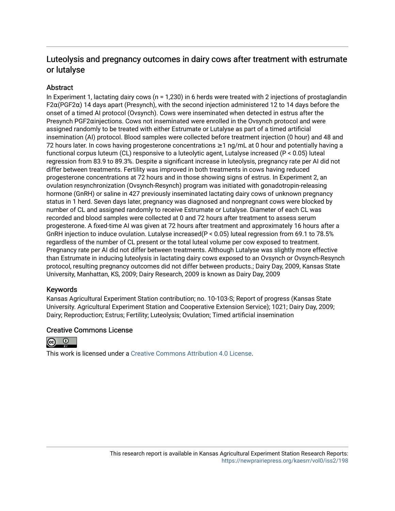## Luteolysis and pregnancy outcomes in dairy cows after treatment with estrumate or lutalyse

## **Abstract**

In Experiment 1, lactating dairy cows (n = 1,230) in 6 herds were treated with 2 injections of prostaglandin F2α(PGF2α) 14 days apart (Presynch), with the second injection administered 12 to 14 days before the onset of a timed AI protocol (Ovsynch). Cows were inseminated when detected in estrus after the Presynch PGF2αinjections. Cows not inseminated were enrolled in the Ovsynch protocol and were assigned randomly to be treated with either Estrumate or Lutalyse as part of a timed artificial insemination (AI) protocol. Blood samples were collected before treatment injection (0 hour) and 48 and 72 hours later. In cows having progesterone concentrations ≥1 ng/mL at 0 hour and potentially having a functional corpus luteum (CL) responsive to a luteolytic agent, Lutalyse increased (P < 0.05) luteal regression from 83.9 to 89.3%. Despite a significant increase in luteolysis, pregnancy rate per AI did not differ between treatments. Fertility was improved in both treatments in cows having reduced progesterone concentrations at 72 hours and in those showing signs of estrus. In Experiment 2, an ovulation resynchronization (Ovsynch-Resynch) program was initiated with gonadotropin-releasing hormone (GnRH) or saline in 427 previously inseminated lactating dairy cows of unknown pregnancy status in 1 herd. Seven days later, pregnancy was diagnosed and nonpregnant cows were blocked by number of CL and assigned randomly to receive Estrumate or Lutalyse. Diameter of each CL was recorded and blood samples were collected at 0 and 72 hours after treatment to assess serum progesterone. A fixed-time AI was given at 72 hours after treatment and approximately 16 hours after a GnRH injection to induce ovulation. Lutalyse increased(P < 0.05) luteal regression from 69.1 to 78.5% regardless of the number of CL present or the total luteal volume per cow exposed to treatment. Pregnancy rate per AI did not differ between treatments. Although Lutalyse was slightly more effective than Estrumate in inducing luteolysis in lactating dairy cows exposed to an Ovsynch or Ovsynch-Resynch protocol, resulting pregnancy outcomes did not differ between products.; Dairy Day, 2009, Kansas State University, Manhattan, KS, 2009; Dairy Research, 2009 is known as Dairy Day, 2009

## Keywords

Kansas Agricultural Experiment Station contribution; no. 10-103-S; Report of progress (Kansas State University. Agricultural Experiment Station and Cooperative Extension Service); 1021; Dairy Day, 2009; Dairy; Reproduction; Estrus; Fertility; Luteolysis; Ovulation; Timed artificial insemination

### Creative Commons License



This work is licensed under a [Creative Commons Attribution 4.0 License](https://creativecommons.org/licenses/by/4.0/).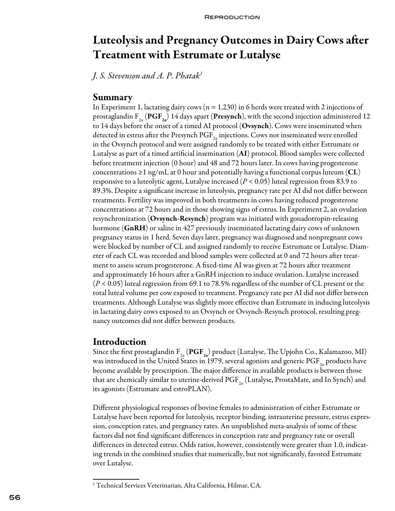# Luteolysis and Pregnancy Outcomes in Dairy Cows after Treatment with Estrumate or Lutalyse

*J. S. Stevenson and A. P. Phatak<sup>1</sup>*

## Summary

In Experiment 1, lactating dairy cows ( $n = 1,230$ ) in 6 herds were treated with 2 injections of prostaglandin F<sub>2a</sub> (PGF<sub>2a</sub>) 14 days apart (Presynch), with the second injection administered 12 to 14 days before the onset of a timed AI protocol (Ovsynch). Cows were inseminated when detected in estrus after the Presynch  $\mathrm{PGF}_{2n}$  injections. Cows not inseminated were enrolled in the Ovsynch protocol and were assigned randomly to be treated with either Estrumate or Lutalyse as part of a timed artificial insemination (AI) protocol. Blood samples were collected before treatment injection (0 hour) and 48 and 72 hours later. In cows having progesterone concentrations ≥1 ng/mL at 0 hour and potentially having a functional corpus luteum (CL) responsive to a luteolytic agent, Lutalyse increased (*P* < 0.05) luteal regression from 83.9 to 89.3%. Despite a significant increase in luteolysis, pregnancy rate per AI did not differ between treatments. Fertility was improved in both treatments in cows having reduced progesterone concentrations at 72 hours and in those showing signs of estrus. In Experiment 2, an ovulation resynchronization (Ovsynch-Resynch) program was initiated with gonadotropin-releasing hormone (GnRH) or saline in 427 previously inseminated lactating dairy cows of unknown pregnancy status in 1 herd. Seven days later, pregnancy was diagnosed and nonpregnant cows were blocked by number of CL and assigned randomly to receive Estrumate or Lutalyse. Diameter of each CL was recorded and blood samples were collected at 0 and 72 hours after treatment to assess serum progesterone. A fixed-time AI was given at 72 hours after treatment and approximately 16 hours after a GnRH injection to induce ovulation. Lutalyse increased (*P* < 0.05) luteal regression from 69.1 to 78.5% regardless of the number of CL present or the total luteal volume per cow exposed to treatment. Pregnancy rate per AI did not differ between treatments. Although Lutalyse was slightly more effective than Estrumate in inducing luteolysis in lactating dairy cows exposed to an Ovsynch or Ovsynch-Resynch protocol, resulting pregnancy outcomes did not differ between products.

## Introduction

Since the first prostaglandin  $F_{2a}$  (PGF<sub>2a</sub>) product (Lutalyse, The Upjohn Co., Kalamazoo, MI) was introduced in the United States in 1979, several agonists and generic  $\mathrm{PGF}_{2a}$  products have become available by prescription. The major difference in available products is between those that are chemically similar to uterine-derived PGF<sub>2a</sub> (Lutalyse, ProstaMate, and In Synch) and its agonists (Estrumate and estroPLAN).

Different physiological responses of bovine females to administration of either Estrumate or Lutalyse have been reported for luteolysis, receptor binding, intrauterine pressure, estrus expression, conception rates, and pregnancy rates. An unpublished meta-analysis of some of these factors did not find significant differences in conception rate and pregnancy rate or overall differences in detected estrus. Odds ratios, however, consistently were greater than 1.0, indicating trends in the combined studies that numerically, but not significantly, favored Estrumate over Lutalyse.

<sup>1</sup> Technical Services Veterinarian, Alta California, Hilmar, CA.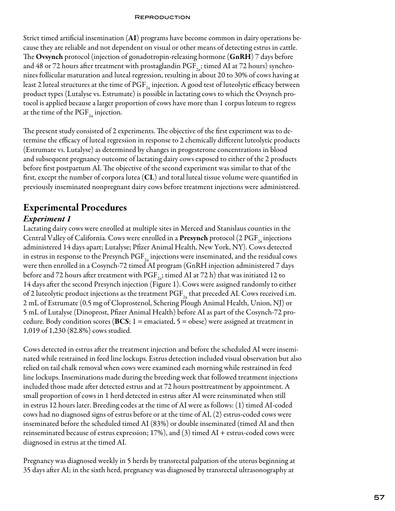Strict timed artificial insemination (AI) programs have become common in dairy operations because they are reliable and not dependent on visual or other means of detecting estrus in cattle. The Ovsynch protocol (injection of gonadotropin-releasing hormone (GnRH) 7 days before and 48 or 72 hours after treatment with prostaglandin PGF<sub>22</sub>; timed AI at 72 hours) synchronizes follicular maturation and luteal regression, resulting in about 20 to 30% of cows having at least 2 luteal structures at the time of  $\mathrm{PGF}_{2n}$  injection. A good test of luteolytic efficacy between product types (Lutalyse vs. Estrumate) is possible in lactating cows to which the Ovsynch protocol is applied because a larger proportion of cows have more than 1 corpus luteum to regress at the time of the PGF $_{2a}$  injection.

The present study consisted of 2 experiments. The objective of the first experiment was to determine the efficacy of luteal regression in response to 2 chemically different luteolytic products (Estrumate vs. Lutalyse) as determined by changes in progesterone concentrations in blood and subsequent pregnancy outcome of lactating dairy cows exposed to either of the 2 products before first postpartum AI. The objective of the second experiment was similar to that of the first, except the number of corpora lutea  $(CL)$  and total luteal tissue volume were quantified in previously inseminated nonpregnant dairy cows before treatment injections were administered.

## Experimental Procedures

## *Experiment 1*

Lactating dairy cows were enrolled at multiple sites in Merced and Stanislaus counties in the Central Valley of California. Cows were enrolled in a **Presynch** protocol (2 PGF<sub>2</sub> injections administered 14 days apart; Lutalyse; Pfizer Animal Health, New York, NY). Cows detected in estrus in response to the Presynch  $\text{PGF}_{2a}$  injections were inseminated, and the residual cows were then enrolled in a Cosynch-72 timed AI program (GnRH injection administered 7 days before and 72 hours after treatment with  $\mathrm{PGF}_{2a}$ ; timed AI at 72 h) that was initiated 12 to 14 days after the second Presynch injection (Figure 1). Cows were assigned randomly to either of 2 luteolytic product injections as the treatment  $\text{PGF}_{2a}$  that preceded AI. Cows received i.m. 2 mL of Estrumate (0.5 mg of Cloprostenol, Schering Plough Animal Health, Union, NJ) or 5 mL of Lutalyse (Dinoprost, Pfizer Animal Health) before AI as part of the Cosynch-72 procedure. Body condition scores ( $\text{BCS}; 1 = \text{emaciated}, 5 = \text{obese}$ ) were assigned at treatment in 1,019 of 1,230 (82.8%) cows studied.

Cows detected in estrus after the treatment injection and before the scheduled AI were inseminated while restrained in feed line lockups. Estrus detection included visual observation but also relied on tail chalk removal when cows were examined each morning while restrained in feed line lockups. Inseminations made during the breeding week that followed treatment injections included those made after detected estrus and at 72 hours posttreatment by appointment. A small proportion of cows in 1 herd detected in estrus after AI were reinsminated when still in estrus 12 hours later. Breeding codes at the time of AI were as follows: (1) timed AI-coded cows had no diagnosed signs of estrus before or at the time of AI, (2) estrus-coded cows were inseminated before the scheduled timed AI (83%) or double inseminated (timed AI and then reinseminated because of estrus expression; 17%), and (3) timed  $AI +$  estrus-coded cows were diagnosed in estrus at the timed AI.

Pregnancy was diagnosed weekly in 5 herds by transrectal palpation of the uterus beginning at 35 days after AI; in the sixth herd, pregnancy was diagnosed by transrectal ultrasonography at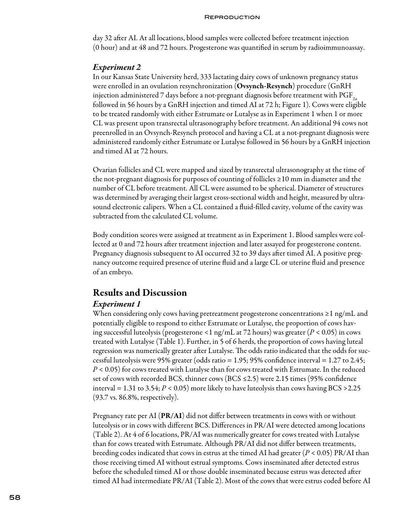day 32 after AI. At all locations, blood samples were collected before treatment injection (0 hour) and at 48 and 72 hours. Progesterone was quantified in serum by radioimmunoassay.

### *Experiment 2*

In our Kansas State University herd, 333 lactating dairy cows of unknown pregnancy status were enrolled in an ovulation resynchronization (**Ovsynch-Resynch**) procedure (GnRH injection administered 7 days before a not-pregnant diagnosis before treatment with  $\mathrm{PGF}_{2a}$ followed in 56 hours by a GnRH injection and timed AI at 72 h; Figure 1). Cows were eligible to be treated randomly with either Estrumate or Lutalyse as in Experiment 1 when 1 or more CL was present upon transrectal ultrasonography before treatment. An additional 94 cows not preenrolled in an Ovsynch-Resynch protocol and having a CL at a not-pregnant diagnosis were administered randomly either Estrumate or Lutalyse followed in 56 hours by a GnRH injection and timed AI at 72 hours.

Ovarian follicles and CL were mapped and sized by transrectal ultrasonography at the time of the not-pregnant diagnosis for purposes of counting of follicles ≥10 mm in diameter and the number of CL before treatment. All CL were assumed to be spherical. Diameter of structures was determined by averaging their largest cross-sectional width and height, measured by ultrasound electronic calipers. When a CL contained a fluid-filled cavity, volume of the cavity was subtracted from the calculated CL volume.

Body condition scores were assigned at treatment as in Experiment 1. Blood samples were collected at 0 and 72 hours after treatment injection and later assayed for progesterone content. Pregnancy diagnosis subsequent to AI occurred 32 to 39 days after timed AI. A positive pregnancy outcome required presence of uterine fluid and a large CL or uterine fluid and presence of an embryo.

## Results and Discussion

### *Experiment 1*

When considering only cows having pretreatment progesterone concentrations ≥1 ng/mL and potentially eligible to respond to either Estrumate or Lutalyse, the proportion of cows having successful luteolysis (progesterone <1 ng/mL at 72 hours) was greater (*P* < 0.05) in cows treated with Lutalyse (Table 1). Further, in 5 of 6 herds, the proportion of cows having luteal regression was numerically greater after Lutalyse. The odds ratio indicated that the odds for successful luteolysis were 95% greater (odds ratio = 1.95; 95% confidence interval = 1.27 to 2.45; *P* < 0.05) for cows treated with Lutalyse than for cows treated with Estrumate. In the reduced set of cows with recorded BCS, thinner cows (BCS  $\leq$ 2.5) were 2.15 times (95% confidence interval  $= 1.31$  to 3.54;  $P < 0.05$ ) more likely to have luteolysis than cows having BCS > 2.25 (93.7 vs. 86.8%, respectively).

Pregnancy rate per AI  $(PR/AI)$  did not differ between treatments in cows with or without luteolysis or in cows with different BCS. Differences in PR/AI were detected among locations (Table 2). At 4 of 6 locations, PR/AI was numerically greater for cows treated with Lutalyse than for cows treated with Estrumate. Although PR/AI did not differ between treatments, breeding codes indicated that cows in estrus at the timed AI had greater (*P* < 0.05) PR/AI than those receiving timed AI without estrual symptoms. Cows inseminated after detected estrus before the scheduled timed AI or those double inseminated because estrus was detected after timed AI had intermediate PR/AI (Table 2). Most of the cows that were estrus coded before AI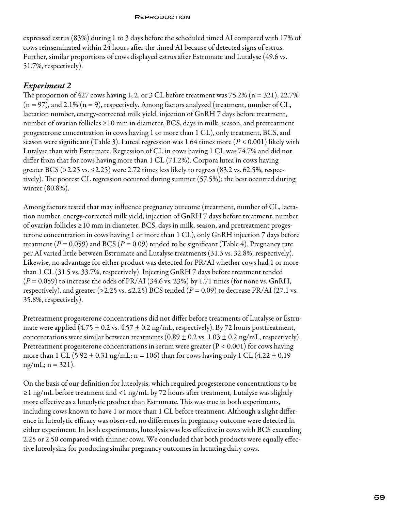expressed estrus (83%) during 1 to 3 days before the scheduled timed AI compared with 17% of cows reinseminated within 24 hours after the timed AI because of detected signs of estrus. Further, similar proportions of cows displayed estrus after Estrumate and Lutalyse (49.6 vs. 51.7%, respectively).

## *Experiment 2*

The proportion of  $427$  cows having 1, 2, or 3 CL before treatment was  $75.2\%$  (n = 321), 22.7%  $(n = 97)$ , and 2.1%  $(n = 9)$ , respectively. Among factors analyzed (treatment, number of CL, lactation number, energy-corrected milk yield, injection of GnRH 7 days before treatment, number of ovarian follicles ≥10 mm in diameter, BCS, days in milk, season, and pretreatment progesterone concentration in cows having 1 or more than 1 CL), only treatment, BCS, and season were significant (Table 3). Luteal regression was 1.64 times more (*P* < 0.001) likely with Lutalyse than with Estrumate. Regression of CL in cows having 1 CL was 74.7% and did not differ from that for cows having more than 1 CL (71.2%). Corpora lutea in cows having greater BCS (>2.25 vs. ≤2.25) were 2.72 times less likely to regress (83.2 vs. 62.5%, respectively). The poorest CL regression occurred during summer (57.5%); the best occurred during winter (80.8%).

Among factors tested that may influence pregnancy outcome (treatment, number of CL, lactation number, energy-corrected milk yield, injection of GnRH 7 days before treatment, number of ovarian follicles ≥10 mm in diameter, BCS, days in milk, season, and pretreatment progesterone concentration in cows having 1 or more than 1 CL), only GnRH injection 7 days before treatment ( $P = 0.059$ ) and BCS ( $P = 0.09$ ) tended to be significant (Table 4). Pregnancy rate per AI varied little between Estrumate and Lutalyse treatments (31.3 vs. 32.8%, respectively). Likewise, no advantage for either product was detected for PR/AI whether cows had 1 or more than 1 CL (31.5 vs. 33.7%, respectively). Injecting GnRH 7 days before treatment tended  $(P = 0.059)$  to increase the odds of PR/AI (34.6 vs. 23%) by 1.71 times (for none vs. GnRH, respectively), and greater (>2.25 vs.  $\leq$ 2.25) BCS tended ( $P = 0.09$ ) to decrease PR/AI (27.1 vs. 35.8%, respectively).

Pretreatment progesterone concentrations did not differ before treatments of Lutalyse or Estrumate were applied  $(4.75 \pm 0.2 \text{ vs. } 4.57 \pm 0.2 \text{ ng/mL},$  respectively). By 72 hours posttreatment, concentrations were similar between treatments  $(0.89 \pm 0.2 \text{ vs. } 1.03 \pm 0.2 \text{ ng/mL},$  respectively). Pretreatment progesterone concentrations in serum were greater  $(P < 0.001)$  for cows having more than 1 CL (5.92  $\pm$  0.31 ng/mL; n = 106) than for cows having only 1 CL (4.22  $\pm$  0.19  $ng/mL; n = 321$ .

On the basis of our definition for luteolysis, which required progesterone concentrations to be ≥1 ng/mL before treatment and <1 ng/mL by 72 hours after treatment, Lutalyse was slightly more effective as a luteolytic product than Estrumate. This was true in both experiments, including cows known to have 1 or more than 1 CL before treatment. Although a slight difference in luteolytic efficacy was observed, no differences in pregnancy outcome were detected in either experiment. In both experiments, luteolysis was less effective in cows with BCS exceeding 2.25 or 2.50 compared with thinner cows. We concluded that both products were equally effective luteolysins for producing similar pregnancy outcomes in lactating dairy cows.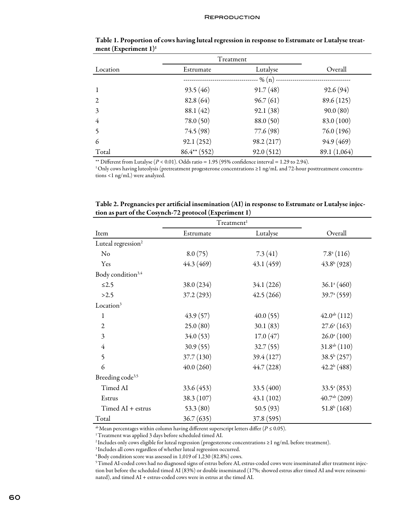|                         | Treatment      |            |              |
|-------------------------|----------------|------------|--------------|
| Location                | Estrumate      | Lutalyse   | Overall      |
|                         |                | -- % (n) - |              |
| $\mathbf{1}$            | 93.5(46)       | 91.7(48)   | 92.6(94)     |
| $\overline{2}$          | 82.8(64)       | 96.7(61)   | 89.6 (125)   |
| 3                       | 88.1 (42)      | 92.1(38)   | 90.0(80)     |
| $\overline{4}$          | 78.0(50)       | 88.0(50)   | 83.0 (100)   |
| $\overline{\mathbf{5}}$ | 74.5 (98)      | 77.6 (98)  | 76.0(196)    |
| 6                       | 92.1(252)      | 98.2 (217) | 94.9 (469)   |
| Total                   | $86.4**$ (552) | 92.0(512)  | 89.1 (1,064) |

Table 1. Proportion of cows having luteal regression in response to Estrumate or Lutalyse treatment (Experiment 1)<sup>1</sup>

\*\* Different from Lutalyse  $(P < 0.01)$ . Odds ratio = 1.95 (95% confidence interval = 1.29 to 2.94).

1 Only cows having luteolysis (pretreatment progesterone concentrations ≥1 ng/mL and 72-hour posttreatment concentrations <1 ng/mL) were analyzed.

|                                | Treatment <sup>1</sup> |            |                          |
|--------------------------------|------------------------|------------|--------------------------|
| Item                           | Estrumate              | Lutalyse   | Overall                  |
| Luteal regression <sup>2</sup> |                        |            |                          |
| No                             | 8.0(75)                | 7.3(41)    | $7.8^{\mathrm{a}}(116)$  |
| Yes                            | 44.3 (469)             | 43.1(459)  | $43.8b$ (928)            |
| Body condition <sup>3,4</sup>  |                        |            |                          |
| $≤2.5$                         | 38.0(234)              | 34.1 (226) | $36.1^{\circ} (460)$     |
| >2.5                           | 37.2(293)              | 42.5(266)  | $39.7^{\mathrm{a}}(559)$ |
| Location <sup>3</sup>          |                        |            |                          |
| 1                              | 43.9(57)               | 40.0(55)   | $42.0^{ab}$ (112)        |
| $\overline{2}$                 | 25.0(80)               | 30.1(83)   | $27.6^{\circ} (163)$     |
| 3                              | 34.0(53)               | 17.0(47)   | $26.0^{\circ}$ (100)     |
| $\overline{4}$                 | 30.9(55)               | 32.7(55)   | $31.8^{ab}$ (110)        |
| 5                              | 37.7(130)              | 39.4 (127) | $38.5^{b}$ (257)         |
| 6                              | 40.0(260)              | 44.7(228)  | $42.2^b(488)$            |
| Breeding code <sup>3,5</sup>   |                        |            |                          |
| Timed AI                       | 33.6(453)              | 33.5(400)  | $33.5^{\mathrm{a}}(853)$ |
| Estrus                         | 38.3 (107)             | 43.1(102)  | $40.7ab$ (209)           |
| $Timed AI + estrus$            | 53.3 $(80)$            | 50.5(93)   | 51.8 <sup>b</sup> (168)  |
| Total                          | 36.7(635)              | 37.8 (595) |                          |

Table 2. Pregnancies per artificial insemination (AI) in response to Estrumate or Lutalyse injection as part of the Cosynch-72 protocol (Experiment 1)

<sup>ab</sup> Mean percentages within column having different superscript letters differ ( $P \le 0.05$ ).

1 Treatment was applied 3 days before scheduled timed AI.

2 Includes only cows eligible for luteal regression (progesterone concentrations ≥1 ng/mL before treatment).

3 Includes all cows regardless of whether luteal regression occurred.

4 Body condition score was assessed in 1,019 of 1,230 (82.8%) cows.

5 Timed AI-coded cows had no diagnosed signs of estrus before AI, estrus-coded cows were inseminated after treatment injection but before the scheduled timed AI (83%) or double inseminated (17%; showed estrus after timed AI and were reinseminated), and timed AI + estrus-coded cows were in estrus at the timed AI.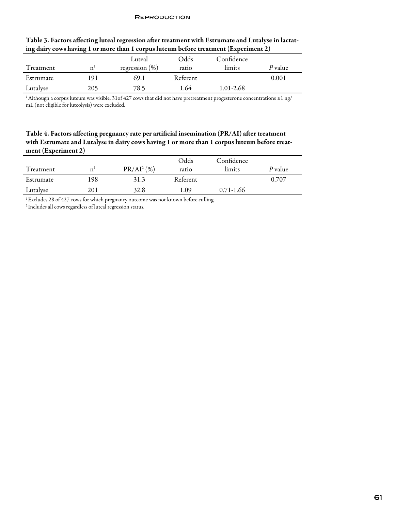| $\bullet$ | $\sigma$ |                   |          |            |         |
|-----------|----------|-------------------|----------|------------|---------|
|           |          | Luteal            | Odds     | Confidence |         |
| Treatment | n        | regression $(\%)$ | ratio    | limits     | P value |
| Estrumate | 191      | 69.1              | Referent |            | 0.001   |
| Lutalyse  | 205      | 78.5              | . 64     | 1.01-2.68  |         |

#### Table 3. Factors affecting luteal regression after treatment with Estrumate and Lutalyse in lactating dairy cows having 1 or more than 1 corpus luteum before treatment (Experiment 2)

1 Although a corpus luteum was visible, 31of 427 cows that did not have pretreatment progesterone concentrations ≥1 ng/ mL (not eligible for luteolysis) were excluded.

## Table 4. Factors affecting pregnancy rate per artificial insemination (PR/AI) after treatment with Estrumate and Lutalyse in dairy cows having 1 or more than 1 corpus luteum before treatment (Experiment 2)

|           |             |               | Odds     | Confidence    |         |
|-----------|-------------|---------------|----------|---------------|---------|
| Treatment | $\mathbf n$ | $PR/AI^2$ (%) | ratio    | limits        | P value |
| Estrumate | 198         | 31.3          | Referent |               | 0.707   |
| Lutalyse  | 201         | 32.8          | 1.09     | $0.71 - 1.66$ |         |

<sup>1</sup> Excludes 28 of 427 cows for which pregnancy outcome was not known before culling.

2 Includes all cows regardless of luteal regression status.